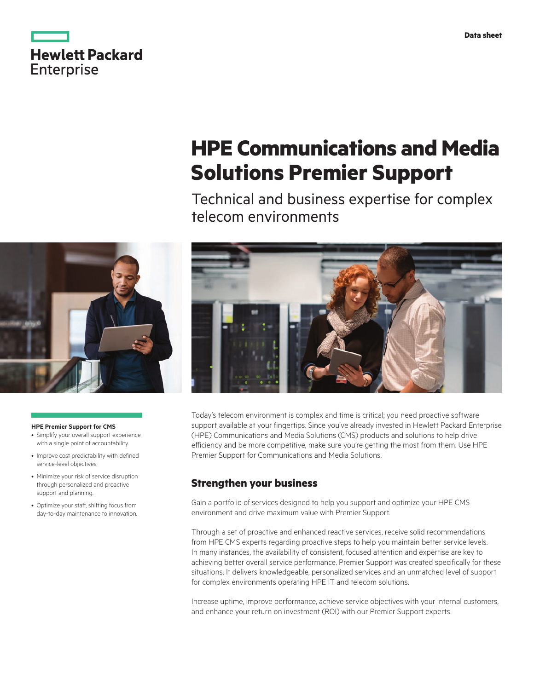|                   | <b>Hewlett Packard</b> |
|-------------------|------------------------|
| <b>Enterprise</b> |                        |

# **HPE Communications and Media Solutions Premier Support**

Technical and business expertise for complex telecom environments



#### **HPE Premier Support for CMS**

- Simplify your overall support experience with a single point of accountability.
- Improve cost predictability with defined service-level objectives.
- Minimize your risk of service disruption through personalized and proactive support and planning.
- Optimize your staff, shifting focus from day-to-day maintenance to innovation.



Today's telecom environment is complex and time is critical; you need proactive software support available at your fingertips. Since you've already invested in Hewlett Packard Enterprise (HPE) Communications and Media Solutions (CMS) products and solutions to help drive efficiency and be more competitive, make sure you're getting the most from them. Use HPE Premier Support for Communications and Media Solutions.

# **Strengthen your business**

Gain a portfolio of services designed to help you support and optimize your HPE CMS environment and drive maximum value with Premier Support.

Through a set of proactive and enhanced reactive services, receive solid recommendations from HPE CMS experts regarding proactive steps to help you maintain better service levels. In many instances, the availability of consistent, focused attention and expertise are key to achieving better overall service performance. Premier Support was created specifically for these situations. It delivers knowledgeable, personalized services and an unmatched level of support for complex environments operating HPE IT and telecom solutions.

Increase uptime, improve performance, achieve service objectives with your internal customers, and enhance your return on investment (ROI) with our Premier Support experts.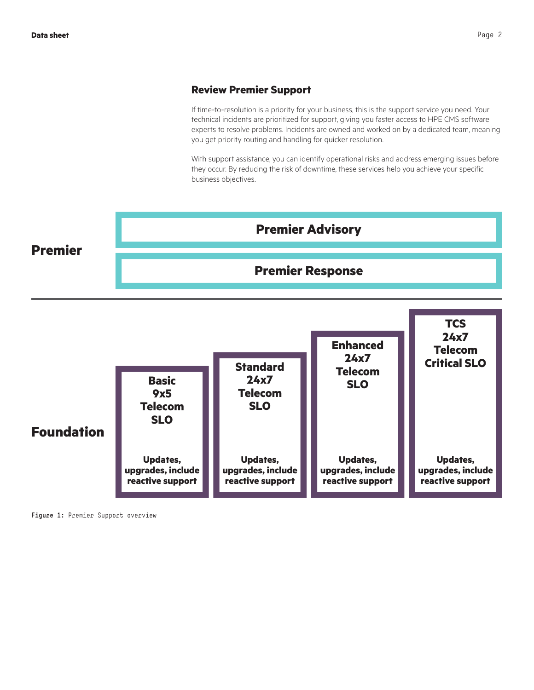## **Review Premier Support**

If time-to-resolution is a priority for your business, this is the support service you need. Your technical incidents are prioritized for support, giving you faster access to HPE CMS software experts to resolve problems. Incidents are owned and worked on by a dedicated team, meaning you get priority routing and handling for quicker resolution.

With support assistance, you can identify operational risks and address emerging issues before they occur. By reducing the risk of downtime, these services help you achieve your specific business objectives.



**Figure 1:** Premier Support overview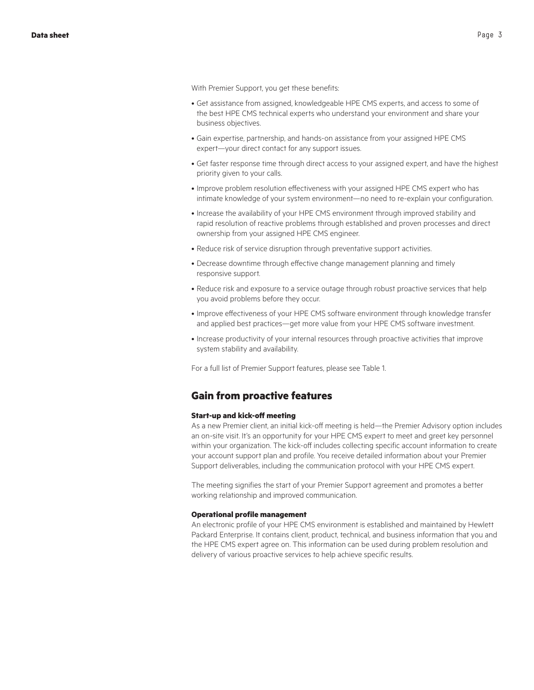With Premier Support, you get these benefits:

- Get assistance from assigned, knowledgeable HPE CMS experts, and access to some of the best HPE CMS technical experts who understand your environment and share your business objectives.
- Gain expertise, partnership, and hands-on assistance from your assigned HPE CMS expert—your direct contact for any support issues.
- Get faster response time through direct access to your assigned expert, and have the highest priority given to your calls.
- Improve problem resolution effectiveness with your assigned HPE CMS expert who has intimate knowledge of your system environment—no need to re-explain your configuration.
- Increase the availability of your HPE CMS environment through improved stability and rapid resolution of reactive problems through established and proven processes and direct ownership from your assigned HPE CMS engineer.
- Reduce risk of service disruption through preventative support activities.
- Decrease downtime through effective change management planning and timely responsive support.
- Reduce risk and exposure to a service outage through robust proactive services that help you avoid problems before they occur.
- Improve effectiveness of your HPE CMS software environment through knowledge transfer and applied best practices—get more value from your HPE CMS software investment.
- Increase productivity of your internal resources through proactive activities that improve system stability and availability.

For a full list of Premier Support features, please see Table 1.

## **Gain from proactive features**

#### **Start-up and kick-off meeting**

As a new Premier client, an initial kick-off meeting is held—the Premier Advisory option includes an on-site visit. It's an opportunity for your HPE CMS expert to meet and greet key personnel within your organization. The kick-off includes collecting specific account information to create your account support plan and profile. You receive detailed information about your Premier Support deliverables, including the communication protocol with your HPE CMS expert.

The meeting signifies the start of your Premier Support agreement and promotes a better working relationship and improved communication.

#### **Operational profile management**

An electronic profile of your HPE CMS environment is established and maintained by Hewlett Packard Enterprise. It contains client, product, technical, and business information that you and the HPE CMS expert agree on. This information can be used during problem resolution and delivery of various proactive services to help achieve specific results.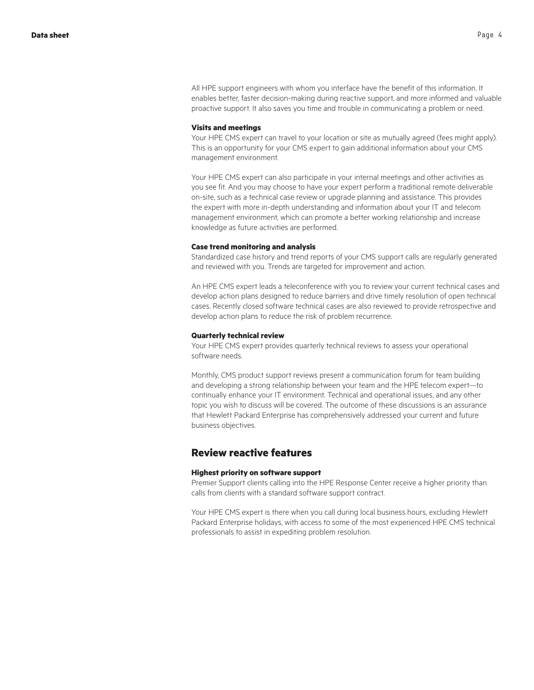All HPE support engineers with whom you interface have the benefit of this information. It enables better, faster decision-making during reactive support, and more informed and valuable proactive support. It also saves you time and trouble in communicating a problem or need.

#### **Visits and meetings**

Your HPE CMS expert can travel to your location or site as mutually agreed (fees might apply). This is an opportunity for your CMS expert to gain additional information about your CMS management environment.

Your HPE CMS expert can also participate in your internal meetings and other activities as you see fit. And you may choose to have your expert perform a traditional remote deliverable on-site, such as a technical case review or upgrade planning and assistance. This provides the expert with more in-depth understanding and information about your IT and telecom management environment, which can promote a better working relationship and increase knowledge as future activities are performed.

#### **Case trend monitoring and analysis**

Standardized case history and trend reports of your CMS support calls are regularly generated and reviewed with you. Trends are targeted for improvement and action.

An HPE CMS expert leads a teleconference with you to review your current technical cases and develop action plans designed to reduce barriers and drive timely resolution of open technical cases. Recently closed software technical cases are also reviewed to provide retrospective and develop action plans to reduce the risk of problem recurrence.

#### **Quarterly technical review**

Your HPE CMS expert provides quarterly technical reviews to assess your operational software needs.

Monthly, CMS product support reviews present a communication forum for team building and developing a strong relationship between your team and the HPE telecom expert—to continually enhance your IT environment. Technical and operational issues, and any other topic you wish to discuss will be covered. The outcome of these discussions is an assurance that Hewlett Packard Enterprise has comprehensively addressed your current and future business objectives.

## **Review reactive features**

#### **Highest priority on software support**

Premier Support clients calling into the HPE Response Center receive a higher priority than calls from clients with a standard software support contract.

Your HPE CMS expert is there when you call during local business hours, excluding Hewlett Packard Enterprise holidays, with access to some of the most experienced HPE CMS technical professionals to assist in expediting problem resolution.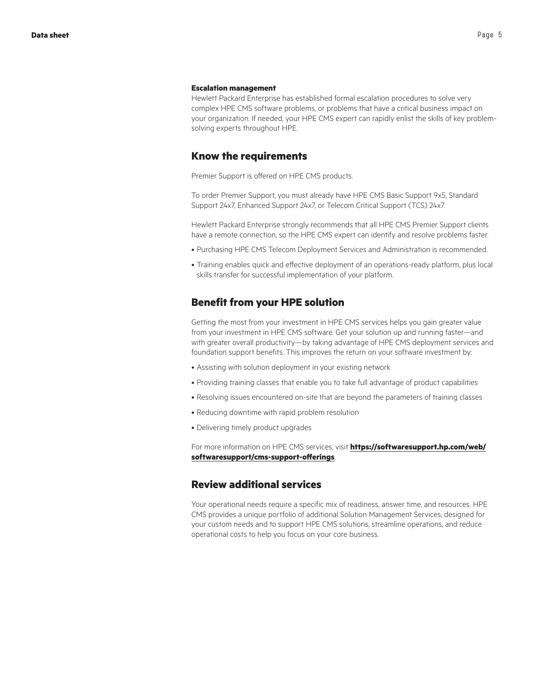#### **Escalation management**

Hewlett Packard Enterprise has established formal escalation procedures to solve very complex HPE CMS software problems, or problems that have a critical business impact on your organization. If needed, your HPE CMS expert can rapidly enlist the skills of key problemsolving experts throughout HPE.

## **Know the requirements**

Premier Support is offered on HPE CMS products.

To order Premier Support, you must already have HPE CMS Basic Support 9x5, Standard Support 24x7, Enhanced Support 24x7, or Telecom Critical Support (TCS) 24x7.

Hewlett Packard Enterprise strongly recommends that all HPE CMS Premier Support clients have a remote connection, so the HPE CMS expert can identify and resolve problems faster.

- Purchasing HPE CMS Telecom Deployment Services and Administration is recommended.
- Training enables quick and effective deployment of an operations-ready platform, plus local skills transfer for successful implementation of your platform.

## **Benefit from your HPE solution**

Getting the most from your investment in HPE CMS services helps you gain greater value from your investment in HPE CMS software. Get your solution up and running faster—and with greater overall productivity—by taking advantage of HPE CMS deployment services and foundation support benefits. This improves the return on your software investment by:

- Assisting with solution deployment in your existing network
- Providing training classes that enable you to take full advantage of product capabilities
- Resolving issues encountered on-site that are beyond the parameters of training classes
- Reducing downtime with rapid problem resolution
- Delivering timely product upgrades

For more information on HPE CMS services, visit **[https://softwaresupport.hp.com/web/](https://softwaresupport.hp.com/web/softwaresupport/cms-support-offerings) [softwaresupport/cms-support-offerings](https://softwaresupport.hp.com/web/softwaresupport/cms-support-offerings)**.

## **Review additional services**

Your operational needs require a specific mix of readiness, answer time, and resources. HPE CMS provides a unique portfolio of additional Solution Management Services, designed for your custom needs and to support HPE CMS solutions, streamline operations, and reduce operational costs to help you focus on your core business.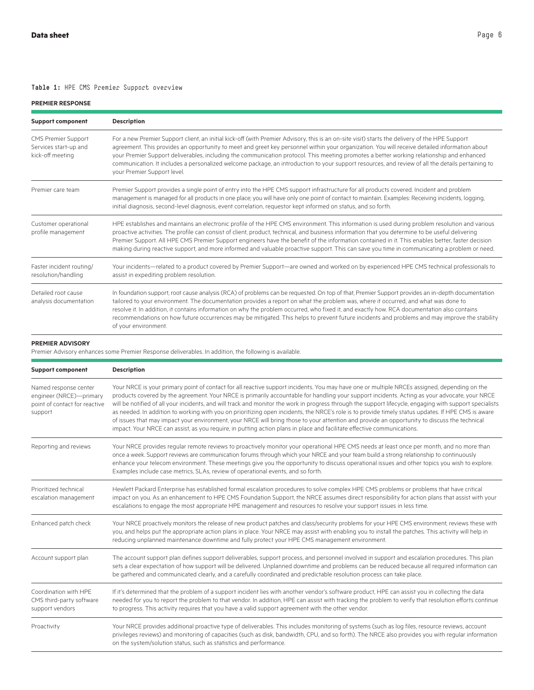## Table 1: HPE CMS Premier Support overview

#### **PREMIER RESPONSE**

| <b>Support component</b>                                                | <b>Description</b>                                                                                                                                                                                                                                                                                                                                                                                                                                                                                                                                                                                                               |  |
|-------------------------------------------------------------------------|----------------------------------------------------------------------------------------------------------------------------------------------------------------------------------------------------------------------------------------------------------------------------------------------------------------------------------------------------------------------------------------------------------------------------------------------------------------------------------------------------------------------------------------------------------------------------------------------------------------------------------|--|
| <b>CMS Premier Support</b><br>Services start-up and<br>kick-off meeting | For a new Premier Support client, an initial kick-off (with Premier Advisory, this is an on-site visit) starts the delivery of the HPE Support<br>agreement. This provides an opportunity to meet and greet key personnel within your organization. You will receive detailed information about<br>your Premier Support deliverables, including the communication protocol. This meeting promotes a better working relationship and enhanced<br>communication. It includes a personalized welcome package, an introduction to your support resources, and review of all the details pertaining to<br>your Premier Support level. |  |
| Premier care team                                                       | Premier Support provides a single point of entry into the HPE CMS support infrastructure for all products covered. Incident and problem<br>management is managed for all products in one place; you will have only one point of contact to maintain. Examples: Receiving incidents, logging,<br>initial diagnosis, second-level diagnosis, event correlation, requestor kept informed on status, and so forth.                                                                                                                                                                                                                   |  |
| Customer operational<br>profile management                              | HPE establishes and maintains an electronic profile of the HPE CMS environment. This information is used during problem resolution and various<br>proactive activities. The profile can consist of client, product, technical, and business information that you determine to be useful delivering<br>Premier Support. All HPE CMS Premier Support engineers have the benefit of the information contained in it. This enables better, faster decision<br>making during reactive support, and more informed and valuable proactive support. This can save you time in communicating a problem or need.                           |  |
| Faster incident routing/<br>resolution/handling                         | Your incidents—related to a product covered by Premier Support—are owned and worked on by experienced HPE CMS technical professionals to<br>assist in expediting problem resolution.                                                                                                                                                                                                                                                                                                                                                                                                                                             |  |
| Detailed root cause<br>analysis documentation                           | In foundation support, root cause analysis (RCA) of problems can be requested. On top of that, Premier Support provides an in-depth documentation<br>tailored to your environment. The documentation provides a report on what the problem was, where it occurred, and what was done to<br>resolve it. In addition, it contains information on why the problem occurred, who fixed it, and exactly how. RCA documentation also contains<br>recommendations on how future occurrences may be mitigated. This helps to prevent future incidents and problems and may improve the stability<br>of your environment.                 |  |

#### **PREMIER ADVISORY**

Premier Advisory enhances some Premier Response deliverables. In addition, the following is available.

| <b>Support component</b>                                                                     | <b>Description</b>                                                                                                                                                                                                                                                                                                                                                                                                                                                                                                                                                                                                                                                                                                                                                                                                                                                                          |  |
|----------------------------------------------------------------------------------------------|---------------------------------------------------------------------------------------------------------------------------------------------------------------------------------------------------------------------------------------------------------------------------------------------------------------------------------------------------------------------------------------------------------------------------------------------------------------------------------------------------------------------------------------------------------------------------------------------------------------------------------------------------------------------------------------------------------------------------------------------------------------------------------------------------------------------------------------------------------------------------------------------|--|
| Named response center<br>engineer (NRCE)-primary<br>point of contact for reactive<br>support | Your NRCE is your primary point of contact for all reactive support incidents. You may have one or multiple NRCEs assigned, depending on the<br>products covered by the agreement. Your NRCE is primarily accountable for handling your support incidents. Acting as your advocate, your NRCE<br>will be notified of all your incidents, and will track and monitor the work in progress through the support lifecycle, engaging with support specialists<br>as needed. In addition to working with you on prioritizing open incidents, the NRCE's role is to provide timely status updates. If HPE CMS is aware<br>of issues that may impact your environment, your NRCE will bring those to your attention and provide an opportunity to discuss the technical<br>impact. Your NRCE can assist, as you require, in putting action plans in place and facilitate effective communications. |  |
| Reporting and reviews                                                                        | Your NRCE provides regular remote reviews to proactively monitor your operational HPE CMS needs at least once per month, and no more than<br>once a week. Support reviews are communication forums through which your NRCE and your team build a strong relationship to continuously<br>enhance your telecom environment. These meetings give you the opportunity to discuss operational issues and other topics you wish to explore.<br>Examples include case metrics, SLAs, review of operational events, and so forth.                                                                                                                                                                                                                                                                                                                                                                   |  |
| Prioritized technical<br>escalation management                                               | Hewlett Packard Enterprise has established formal escalation procedures to solve complex HPE CMS problems or problems that have critical<br>impact on you. As an enhancement to HPE CMS Foundation Support, the NRCE assumes direct responsibility for action plans that assist with your<br>escalations to engage the most appropriate HPE management and resources to resolve your support issues in less time.                                                                                                                                                                                                                                                                                                                                                                                                                                                                           |  |
| Enhanced patch check                                                                         | Your NRCE proactively monitors the release of new product patches and class/security problems for your HPE CMS environment, reviews these with<br>you, and helps put the appropriate action plans in place. Your NRCE may assist with enabling you to install the patches. This activity will help in<br>reducing unplanned maintenance downtime and fully protect your HPE CMS management environment.                                                                                                                                                                                                                                                                                                                                                                                                                                                                                     |  |
| Account support plan                                                                         | The account support plan defines support deliverables, support process, and personnel involved in support and escalation procedures. This plan<br>sets a clear expectation of how support will be delivered. Unplanned downtime and problems can be reduced because all required information can<br>be gathered and communicated clearly, and a carefully coordinated and predictable resolution process can take place.                                                                                                                                                                                                                                                                                                                                                                                                                                                                    |  |
| Coordination with HPE<br>CMS third-party software<br>support vendors                         | If it's determined that the problem of a support incident lies with another vendor's software product, HPE can assist you in collecting the data<br>needed for you to report the problem to that vendor. In addition, HPE can assist with tracking the problem to verify that resolution efforts continue<br>to progress. This activity requires that you have a valid support agreement with the other vendor.                                                                                                                                                                                                                                                                                                                                                                                                                                                                             |  |
| Proactivity                                                                                  | Your NRCE provides additional proactive type of deliverables. This includes monitoring of systems (such as log files, resource reviews, account<br>privileges reviews) and monitoring of capacities (such as disk, bandwidth, CPU, and so forth). The NRCE also provides you with regular information<br>on the system/solution status, such as statistics and performance.                                                                                                                                                                                                                                                                                                                                                                                                                                                                                                                 |  |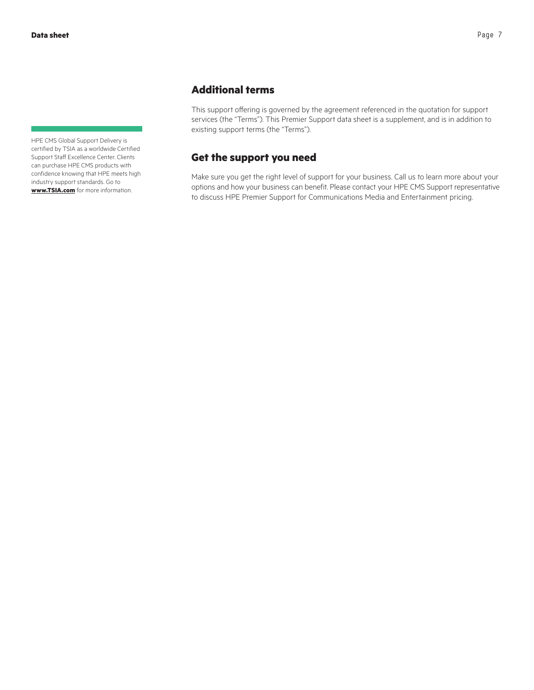HPE CMS Global Support Delivery is certified by TSIA as a worldwide Certified Support Staff Excellence Center. Clients can purchase HPE CMS products with confidence knowing that HPE meets high industry support standards. Go to **[www.TSIA.com](http://www.TSIA.com)** for more information.

# **Additional terms**

This support offering is governed by the agreement referenced in the quotation for support services (the "Terms"). This Premier Support data sheet is a supplement, and is in addition to existing support terms (the "Terms").

# **Get the support you need**

Make sure you get the right level of support for your business. Call us to learn more about your options and how your business can benefit. Please contact your HPE CMS Support representative to discuss HPE Premier Support for Communications Media and Entertainment pricing.